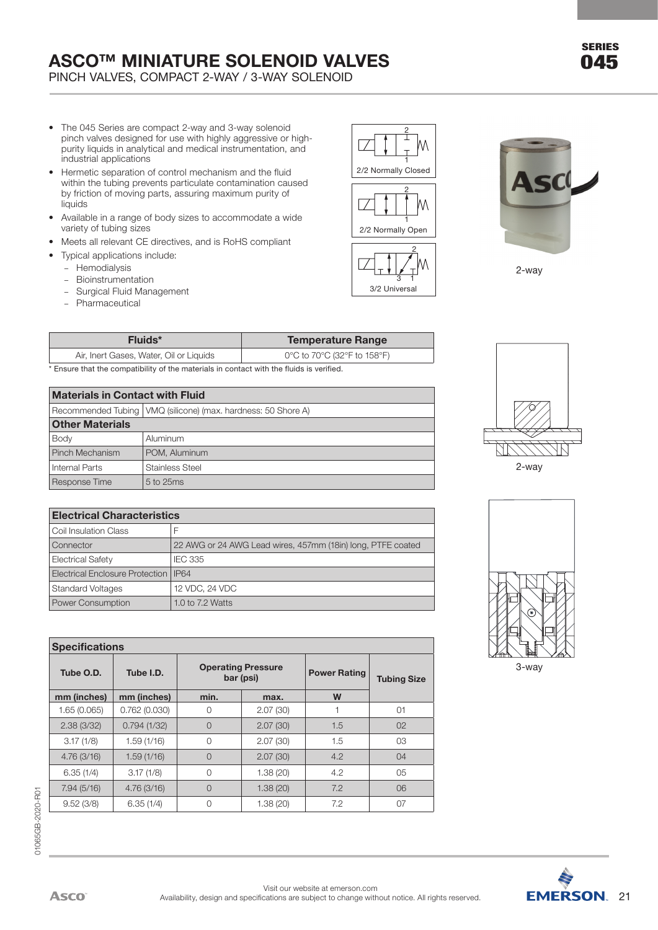PINCH VALVES, COMPACT 2-WAY / 3-WAY SOLENOID

- The 045 Series are compact 2-way and 3-way solenoid pinch valves designed for use with highly aggressive or highpurity liquids in analytical and medical instrumentation, and industrial applications
- Hermetic separation of control mechanism and the fluid within the tubing prevents particulate contamination caused by friction of moving parts, assuring maximum purity of liquids
- Available in a range of body sizes to accommodate a wide variety of tubing sizes
- Meets all relevant CE directives, and is RoHS compliant
- Typical applications include:
	- Hemodialysis
	- Bioinstrumentation
	- Surgical Fluid Management
	- Pharmaceutical

| 2/2 Normally Closed |
|---------------------|
|                     |
|                     |
| 2/2 Normally Open   |
|                     |
|                     |
| 3/2 Universal       |

3/2 Universal





| Fluids*                                                                                                    | <b>Temperature Range</b>    |
|------------------------------------------------------------------------------------------------------------|-----------------------------|
| Air, Inert Gases, Water, Oil or Liquids                                                                    | 0°C to 70°C (32°F to 158°F) |
| to como alcea alcente como estictivo, está le choesembrilente tenecese contabilidade situativo consiste el |                             |

\* Ensure that the compatibility of the materials in contact with the fluids is verified.

### Internal Parts **Stainless** Steel **Materials in Contact with Fluid** Recommended Tubing VMQ (silicone) (max. hardness: 50 Shore A) **Other Materials** Body **Aluminum** Pinch Mechanism | POM, Aluminum Response Time  $5$  to 25ms

| <b>Materials in Contact with Fluid</b>                          |           |                                                             |  |  |  |  |  |  |
|-----------------------------------------------------------------|-----------|-------------------------------------------------------------|--|--|--|--|--|--|
| Recommended Tubing   VMQ (silicone) (max. hardness: 50 Shore A) |           |                                                             |  |  |  |  |  |  |
| <b>Other Materials</b>                                          |           |                                                             |  |  |  |  |  |  |
| Body                                                            |           | Aluminum                                                    |  |  |  |  |  |  |
| Pinch Mechanism                                                 |           | POM, Aluminum                                               |  |  |  |  |  |  |
| Internal Parts                                                  |           | Stainless Steel                                             |  |  |  |  |  |  |
| Response Time                                                   | 5 to 25ms |                                                             |  |  |  |  |  |  |
|                                                                 |           |                                                             |  |  |  |  |  |  |
| <b>Electrical Characteristics</b>                               |           |                                                             |  |  |  |  |  |  |
| Coil Insulation Class                                           |           | F                                                           |  |  |  |  |  |  |
| Connector                                                       |           | 22 AWG or 24 AWG Lead wires, 457mm (18in) long, PTFE coated |  |  |  |  |  |  |
| <b>Electrical Safety</b>                                        |           | <b>IEC 335</b>                                              |  |  |  |  |  |  |
| Electrical Enclosure Protection                                 |           | <b>IP64</b>                                                 |  |  |  |  |  |  |
| <b>Standard Voltages</b>                                        |           | 12 VDC, 24 VDC                                              |  |  |  |  |  |  |
| <b>Power Consumption</b>                                        |           | 1.0 to 7.2 Watts                                            |  |  |  |  |  |  |
|                                                                 |           |                                                             |  |  |  |  |  |  |
|                                                                 |           |                                                             |  |  |  |  |  |  |

| <b>Specifications</b> |              |                |                                                               |     |                    |
|-----------------------|--------------|----------------|---------------------------------------------------------------|-----|--------------------|
| Tube O.D.             | Tube I.D.    |                | <b>Operating Pressure</b><br><b>Power Rating</b><br>bar (psi) |     | <b>Tubing Size</b> |
| mm (inches)           | mm (inches)  | min.           | max.                                                          | W   |                    |
| 1.65(0.065)           | 0.762(0.030) | 0              | 2.07(30)                                                      |     | 01                 |
| 2.38(3/32)            | 0.794(1/32)  | $\overline{O}$ | 2.07(30)                                                      | 1.5 | 02                 |
| 3.17(1/8)             | 1.59(1/16)   | 0              | 2.07(30)                                                      | 1.5 | 03                 |
| 4.76(3/16)            | 1.59(1/16)   | $\overline{0}$ | 2.07(30)                                                      | 4.2 | 04                 |
| 6.35(1/4)             | 3.17(1/8)    | 0              | 1.38(20)                                                      | 4.2 | 05                 |
| 7.94(5/16)            | 4.76(3/16)   | $\overline{O}$ | 1.38(20)                                                      | 7.2 | 06                 |
| 9.52(3/8)             | 6.35(1/4)    | 0              | 1.38(20)                                                      | 7.2 | 07                 |





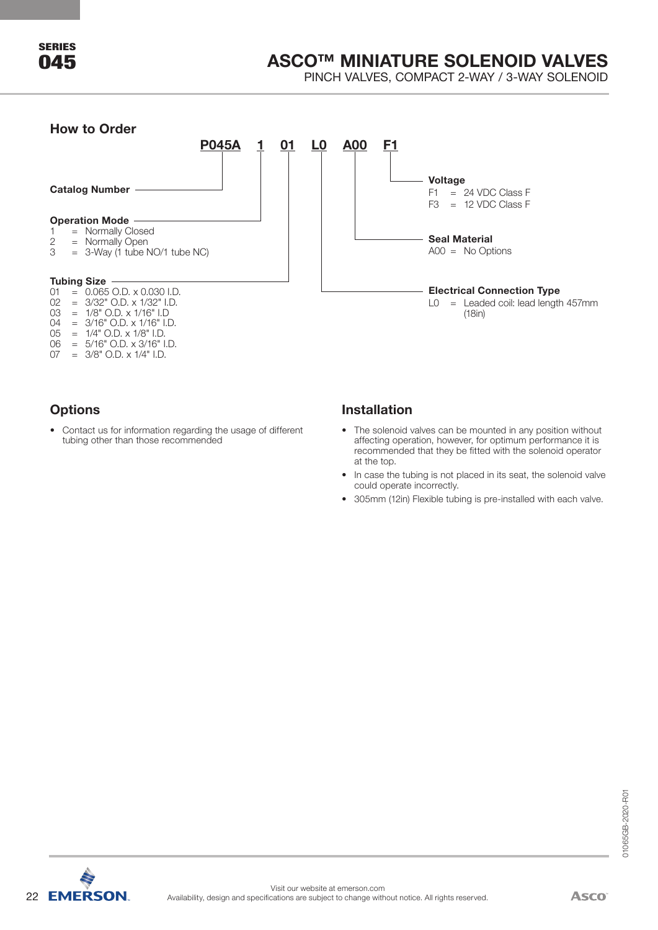PINCH VALVES, COMPACT 2-WAY / 3-WAY SOLENOID

### **How to Order**



### **Options**

• Contact us for information regarding the usage of different tubing other than those recommended

### **Installation**

- The solenoid valves can be mounted in any position without affecting operation, however, for optimum performance it is recommended that they be fitted with the solenoid operator at the top.
- In case the tubing is not placed in its seat, the solenoid valve could operate incorrectly.
- 305mm (12in) Flexible tubing is pre-installed with each valve.

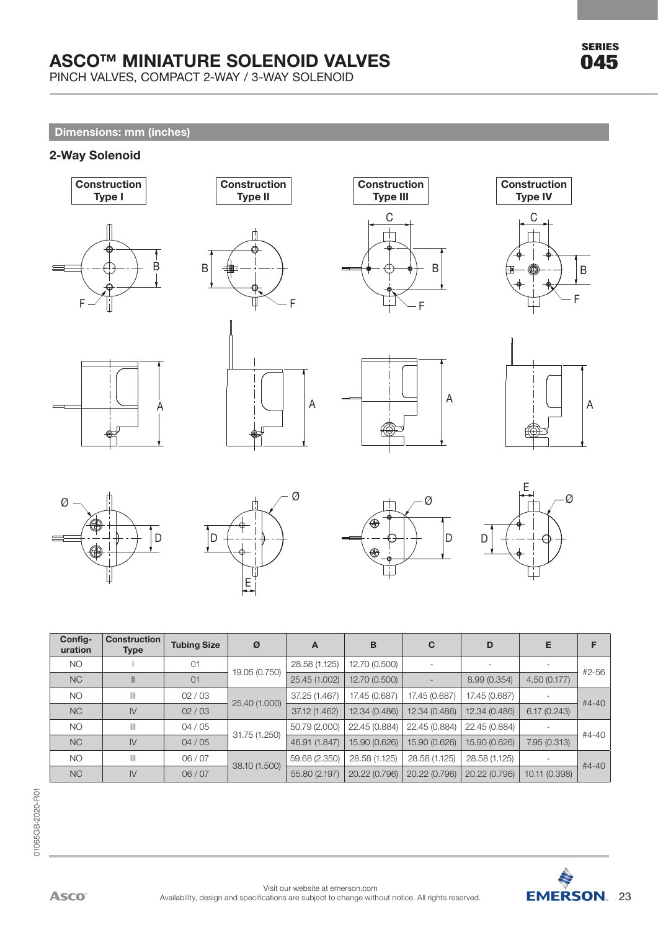PINCH VALVES, COMPACT 2-WAY / 3-WAY SOLENOID

### **Dimensions: mm (inches)**

### **2-Way Solenoid**







**Construction**

















| Config-<br>uration | <b>Construction</b><br><b>Type</b> | <b>Tubing Size</b> | Ø             | Α             | в             | C             | D             | Е             | F         |
|--------------------|------------------------------------|--------------------|---------------|---------------|---------------|---------------|---------------|---------------|-----------|
| <b>NO</b>          |                                    | 01                 |               | 28.58 (1.125) | 12.70 (0.500) |               |               |               |           |
| <b>NC</b>          | Ш                                  | 01                 | 19.05 (0.750) | 25.45 (1.002) | 12.70 (0.500) |               | 8.99 (0.354)  | 4.50(0.177)   | #2-56     |
| <b>NO</b>          | $\mathbb{H}$                       | 02/03              | 25.40 (1.000) | 37.25 (1.467) | 17.45 (0.687) | 17.45 (0.687) | 17.45 (0.687) |               | $#4 - 40$ |
| <b>NC</b>          | $\mathsf{I}\mathsf{V}$             | 02/03              |               | 37.12 (1.462) | 12.34 (0.486) | 12.34 (0.486) | 12.34 (0.486) | 6.17(0.243)   |           |
| <b>NO</b>          | $\mathbb{H}$                       | 04/05              |               | 50.79 (2.000) | 22.45 (0.884) | 22.45 (0.884) | 22.45 (0.884) |               | #4-40     |
| <b>NC</b>          | $\mathsf{I}\mathsf{V}$             | 04/05              | 31.75 (1.250) | 46.91 (1.847) | 15.90 (0.626) | 15.90 (0.626) | 15.90 (0.626) | 7.95 (0.313)  |           |
| <b>NO</b>          | $\mathbb{H}$                       | 06/07              |               | 59.68 (2.350) | 28.58 (1.125) | 28.58 (1.125) | 28.58 (1.125) |               | $#4 - 40$ |
| N <sub>C</sub>     | $\mathsf{N}$                       | 06/07              | 38.10 (1.500) | 55.80 (2.197) | 20.22 (0.796) | 20.22 (0.796) | 20.22 (0.796) | 10.11 (0.398) |           |

A



SERIES 045